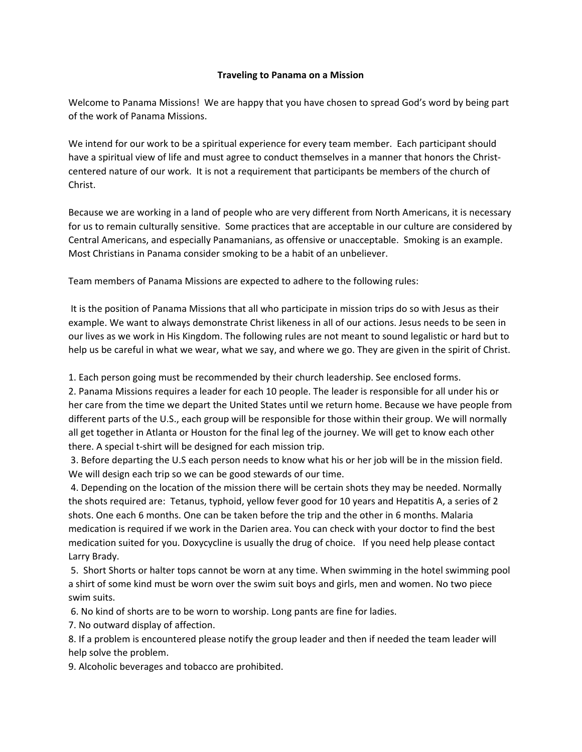## **Traveling to Panama on a Mission**

Welcome to Panama Missions! We are happy that you have chosen to spread God's word by being part of the work of Panama Missions.

We intend for our work to be a spiritual experience for every team member. Each participant should have a spiritual view of life and must agree to conduct themselves in a manner that honors the Christcentered nature of our work. It is not a requirement that participants be members of the church of Christ.

Because we are working in a land of people who are very different from North Americans, it is necessary for us to remain culturally sensitive. Some practices that are acceptable in our culture are considered by Central Americans, and especially Panamanians, as offensive or unacceptable. Smoking is an example. Most Christians in Panama consider smoking to be a habit of an unbeliever.

Team members of Panama Missions are expected to adhere to the following rules:

It is the position of Panama Missions that all who participate in mission trips do so with Jesus as their example. We want to always demonstrate Christ likeness in all of our actions. Jesus needs to be seen in our lives as we work in His Kingdom. The following rules are not meant to sound legalistic or hard but to help us be careful in what we wear, what we say, and where we go. They are given in the spirit of Christ.

1. Each person going must be recommended by their church leadership. See enclosed forms.

2. Panama Missions requires a leader for each 10 people. The leader is responsible for all under his or her care from the time we depart the United States until we return home. Because we have people from different parts of the U.S., each group will be responsible for those within their group. We will normally all get together in Atlanta or Houston for the final leg of the journey. We will get to know each other there. A special t‐shirt will be designed for each mission trip.

3. Before departing the U.S each person needs to know what his or her job will be in the mission field. We will design each trip so we can be good stewards of our time.

4. Depending on the location of the mission there will be certain shots they may be needed. Normally the shots required are: Tetanus, typhoid, yellow fever good for 10 years and Hepatitis A, a series of 2 shots. One each 6 months. One can be taken before the trip and the other in 6 months. Malaria medication is required if we work in the Darien area. You can check with your doctor to find the best medication suited for you. Doxycycline is usually the drug of choice. If you need help please contact Larry Brady.

5. Short Shorts or halter tops cannot be worn at any time. When swimming in the hotel swimming pool a shirt of some kind must be worn over the swim suit boys and girls, men and women. No two piece swim suits.

6. No kind of shorts are to be worn to worship. Long pants are fine for ladies.

7. No outward display of affection.

8. If a problem is encountered please notify the group leader and then if needed the team leader will help solve the problem.

9. Alcoholic beverages and tobacco are prohibited.